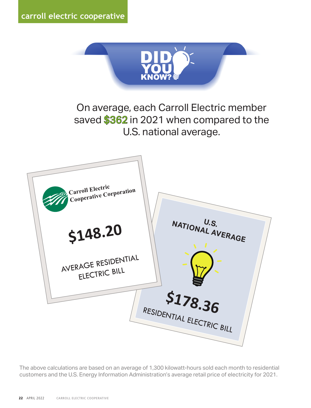

On average, each Carroll Electric member On average, each Carroll Electric member saved \$362 in 2021 when compared to the U.S. national average? U.S. national average.



*The above calculations are based on an average of 1,300 kilowatt-hours sold each month to residential*  The above calculations are based on an average of 1,300 kilowatt-hours sold each month to residential *customers and the U.S. Energy Information Administration's average retail price of electricity for 2021.*  customers and the U.S. Energy Information Administration's average retail price of electricity for 2021.